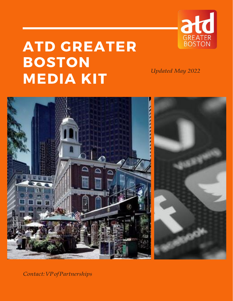

# **ATD GREATER BOSTON MEDIA KIT**

*Updated May 2022*



*Contact:VPofPartnerships*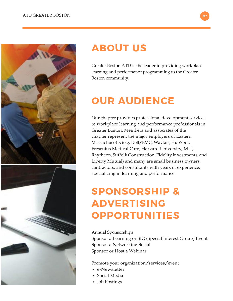



### **ABOUT US**

Greater Boston ATD is the leader in providing workplace learning and performance programming to the Greater Boston community.

## **OUR AUDIENCE**

Our chapter provides professional development services to workplace learning and performance professionals in Greater Boston. Members and associates of the chapter represent the major employers of Eastern Massachusetts (e.g. Dell/EMC, Wayfair, HubSpot, Fresenius Medical Care, Harvard University, MIT, Raytheon, Suffolk Construction, Fidelity Investments, and Liberty Mutual) and many are small business owners, contractors, and consultants with years of experience, specializing in learning and performance.

## **SPONSORSHIP & ADVERTISING OPPORTUNITIES**

#### Annual Sponsorships

Sponsor a Learning or SIG (Special Interest Group) Event Sponsor a Networking Social Sponsor or Host a Webinar

Promote your organization/services/event

- e-Newsletter
- Social Media
- Job Postings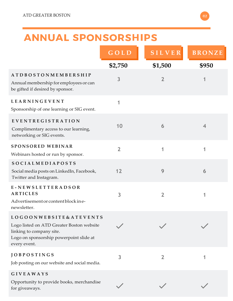### **ANNUAL SPONSORSHIPS**

|                                                                                                                                                                         | GOLD           | <b>SILVER</b>  | <b>BRONZE</b>  |
|-------------------------------------------------------------------------------------------------------------------------------------------------------------------------|----------------|----------------|----------------|
|                                                                                                                                                                         | \$2,750        | \$1,500        | \$950          |
| <b>ATDBOSTONMEMBERSHIP</b><br>Annual membership for employees or can<br>be gifted if desired by sponsor.                                                                | 3              | $\overline{2}$ |                |
| <b>LEARNINGEVENT</b><br>Sponsorship of one learning or SIG event.                                                                                                       | 1              |                |                |
| EVENTREGISTRATION<br>Complimentary access to our learning,<br>networking or SIG events.                                                                                 | 10             | 6              | $\overline{4}$ |
| <b>SPONSORED WEBINAR</b><br>Webinars hosted or run by sponsor.                                                                                                          | $\overline{2}$ | 1              | 1              |
| <b>SOCIALMEDIAPOSTS</b><br>Social media posts on LinkedIn, Facebook,<br>Twitter and Instagram.                                                                          | 12             | 9              | 6              |
| E-NEWSLETTERADSOR<br><b>ARTICLES</b><br>Advertisement or content block in e-<br>newsletter.                                                                             | 3              | $\overline{2}$ | 1              |
| <b>LOGOONWEBSITE &amp; ATEVENTS</b><br>Logo listed on ATD Greater Boston website<br>linking to company site.<br>Logo on sponsorship powerpoint slide at<br>every event. |                |                |                |
| <b>JOBPOSTINGS</b><br>Job posting on our website and social media.                                                                                                      | 3              | $\overline{2}$ |                |
| <b>GIVEAWAYS</b>                                                                                                                                                        |                |                |                |
| Opportunity to provide books, merchandise<br>for giveaways.                                                                                                             |                |                |                |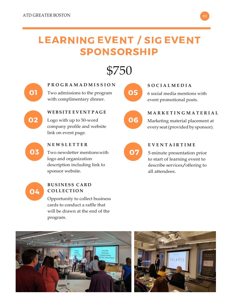## **LEARNING EVENT / SIG EVENT SPONSORSHIP**

\$750



**P R O G R A M A D M I S S I O N** Two admissions to the program

with complimentary dinner.



#### **WEBSITE EV E N T P A G E**

Logo with up to 50-word company profile and website link on event page.



#### **N E W S L E T T E R**

Two newsletter mentionswith logo and organization description including link to sponsor website.



#### **BUSINESS CARD C O LL EC TI O N**

Opportunity to collect business cards to conduct a raffle that will be drawn at the end of the program.







**S O C I A L M E D I A**

6 social media mentions with event promotional posts.



**M A R K E T I N G M A T E R I A L**

Marketing material placement at every seat(provided by sponsor).



#### **E V E N T A I R T I M E**

5-minute presentation prior to start of learning event to describe services/offering to all attendees.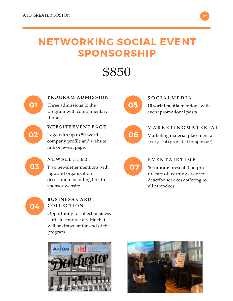### **NETWORKING SOCIAL EVENT SPONSORSHIP**

\$850



#### **PROGRAM ADMISSION**

Three admissions to the program with complimentary dinner.

02

03

#### **WEBSITE EV E N T P A G E**

Logo with up to 50-word company profile and website link on event page.

Two newsletter mentionswith

description including link to



#### **S O C I A L M E D I A**

**10 social media** mentions with event promotional posts.



**M A R K E T I N G M A T E R I A L**

Marketing material placement at every seat(provided by sponsor).



#### **E V E N T A I R T I M E**

**10-minute** presentation prior to start of learning event to describe services/offering to all attendees.



#### **BUSINESS CARD C O LL EC TI O N**

**N E W S L E T T E R**

logo and organization

sponsor website.

Opportunity to collect business cards to conduct a raffle that will be drawn at the end of the program.



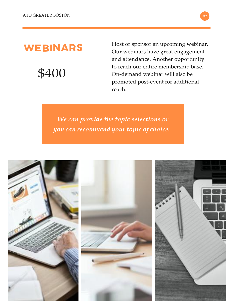### **WEBINARS**

\$400

Host or sponsor an upcoming webinar. Our webinars have great engagement and attendance. Another opportunity to reach our entire membership base. On-demand webinar will also be promoted post-event for additional reach.

*We can provide the topic selections or you can recommend yourtopic of choice.*

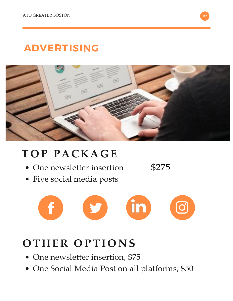## **ADVERTISING**



## **T O P PACKA G E**

- One newsletter insertion
- Five social media posts

\$275



## **O T H E R O P TI O N S**

- One newsletter insertion, \$75
- One Social Media Post on all platforms, \$50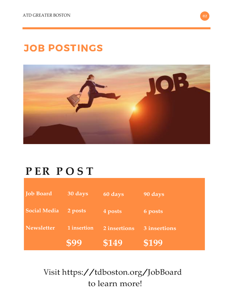## **JOB POSTINGS**



## **P ER P O S T**

| <b>Job Board</b>    | 30 days     | 60 days      | 90 days      |
|---------------------|-------------|--------------|--------------|
| <b>Social Media</b> | 2 posts     | 4 posts      | 6 posts      |
| <b>Newsletter</b>   | 1 insertion | 2 insertions | 3 insertions |
|                     | \$99        | \$149        | \$199        |

Visit https://tdboston.org/JobBoard to learn more!

02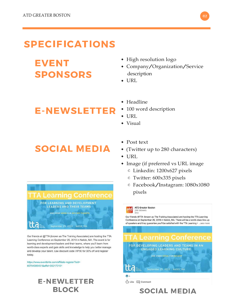### **SPECIFICATIONS**

## **EVENT SPONSORS**

### **E-NEWSLETTER**

**SOCIAL MEDIA** 



Our friends at @TTA (known as The Training Associates) are hosting the TTA Learning Conference on September 25, 2019 in Natick, MA. The event is for learning and development leaders and their teams, where you'll learn from world-class experts and gain skills and knowledge to help you better manage and develop your talent. Use discount code VIP30 for 30% off and register today.

https://www.eventbrite.com/affiliate-register?eid= 60704385451&affid=302173101

#### **E-NEWLETTER BLOCK**

- High resolution logo
- Company/Organization/Service description
- $\bullet$  URL
- Headline
- 100 word description
- $\bullet$  URL
- Visual
- Post text
- (Twitter up to 280 characters)
- URL
- Image (if preferred vs URL image
	- Linkedin: 1200x627 pixels
	- Twitter: 600x335 pixels
	- Facebook/Instagram: 1080x1080 pixels



**SOCIAL MEDIA**